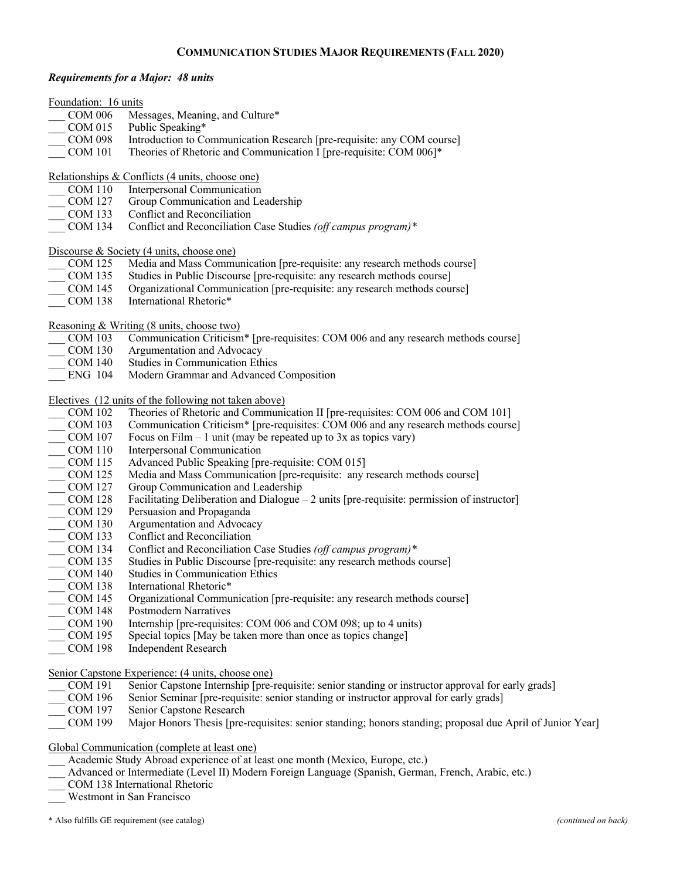# **COMMUNICATION STUDIES MAJOR REQUIREMENTS (FALL 2020)**

## *Requirements for a Major: 48 units*

| Foundation: 16 units |                                                                                                           |
|----------------------|-----------------------------------------------------------------------------------------------------------|
| <b>COM 006</b>       | Messages, Meaning, and Culture*                                                                           |
| <b>COM 015</b>       | Public Speaking*                                                                                          |
| <b>COM 098</b>       | Introduction to Communication Research [pre-requisite: any COM course]                                    |
| <b>COM 101</b>       | Theories of Rhetoric and Communication I [pre-requisite: COM 006]*                                        |
|                      | Relationships & Conflicts (4 units, choose one)                                                           |
| <b>COM 110</b>       | Interpersonal Communication                                                                               |
| <b>COM 127</b>       | Group Communication and Leadership                                                                        |
| <b>COM 133</b>       | Conflict and Reconciliation                                                                               |
| <b>COM 134</b>       | Conflict and Reconciliation Case Studies (off campus program)*                                            |
|                      | Discourse & Society (4 units, choose one)                                                                 |
| <b>COM 125</b>       | Media and Mass Communication [pre-requisite: any research methods course]                                 |
| <b>COM 135</b>       | Studies in Public Discourse [pre-requisite: any research methods course]                                  |
| <b>COM 145</b>       | Organizational Communication [pre-requisite: any research methods course]                                 |
| <b>COM 138</b>       | International Rhetoric*                                                                                   |
|                      | Reasoning & Writing (8 units, choose two)                                                                 |
| <b>COM 103</b>       | Communication Criticism* [pre-requisites: COM 006 and any research methods course]                        |
| <b>COM 130</b>       | Argumentation and Advocacy                                                                                |
| <b>COM 140</b>       | <b>Studies in Communication Ethics</b>                                                                    |
| <b>ENG 104</b>       | Modern Grammar and Advanced Composition                                                                   |
|                      |                                                                                                           |
|                      | Electives (12 units of the following not taken above)                                                     |
| <b>COM 102</b>       | Theories of Rhetoric and Communication II [pre-requisites: COM 006 and COM 101]                           |
| <b>COM 103</b>       | Communication Criticism* [pre-requisites: COM 006 and any research methods course]                        |
| <b>COM 107</b>       | Focus on Film $-1$ unit (may be repeated up to 3x as topics vary)                                         |
| <b>COM 110</b>       | Interpersonal Communication                                                                               |
| <b>COM 115</b>       | Advanced Public Speaking [pre-requisite: COM 015]                                                         |
| <b>COM 125</b>       | Media and Mass Communication [pre-requisite: any research methods course]                                 |
| <b>COM 127</b>       | Group Communication and Leadership                                                                        |
| <b>COM 128</b>       | Facilitating Deliberation and Dialogue – 2 units [pre-requisite: permission of instructor]                |
| <b>COM 129</b>       | Persuasion and Propaganda                                                                                 |
| <b>COM 130</b>       | Argumentation and Advocacy                                                                                |
| <b>COM 133</b>       | Conflict and Reconciliation                                                                               |
| <b>COM 134</b>       | Conflict and Reconciliation Case Studies (off campus program)*                                            |
| <b>COM 135</b>       | Studies in Public Discourse [pre-requisite: any research methods course]                                  |
| <b>COM 140</b>       | <b>Studies in Communication Ethics</b>                                                                    |
| <b>COM 138</b>       | International Rhetoric*                                                                                   |
| <b>COM 145</b>       | Organizational Communication [pre-requisite: any research methods course]                                 |
| <b>COM 148</b>       | <b>Postmodern Narratives</b>                                                                              |
| <b>COM 190</b>       | Internship [pre-requisites: COM 006 and COM 098; up to 4 units)                                           |
| <b>COM 195</b>       | Special topics [May be taken more than once as topics change]                                             |
| <b>COM 198</b>       | <b>Independent Research</b>                                                                               |
|                      | Senior Capstone Experience: (4 units, choose one)                                                         |
| <b>COM 191</b>       | Senior Capstone Internship [pre-requisite: senior standing or instructor approval for early grads]        |
| <b>COM 196</b>       | Senior Seminar [pre-requisite: senior standing or instructor approval for early grads]                    |
| <b>COM 197</b>       | Senior Capstone Research                                                                                  |
| <b>COM 199</b>       | Major Honors Thesis [pre-requisites: senior standing; honors standing; proposal due April of Junior Year] |
|                      | Global Communication (complete at least one)                                                              |
|                      | Academic Study Abroad experience of at least one month (Mexico, Europe, etc.)                             |
|                      | Advanced or Intermediate (Level II) Modern Foreign Language (Spanish, German, French, Arabic, etc.)       |
|                      | COM 138 International Rhetoric                                                                            |
|                      |                                                                                                           |

\_\_\_ Westmont in San Francisco

\* Also fulfills GE requirement (see catalog) *(continued on back)*